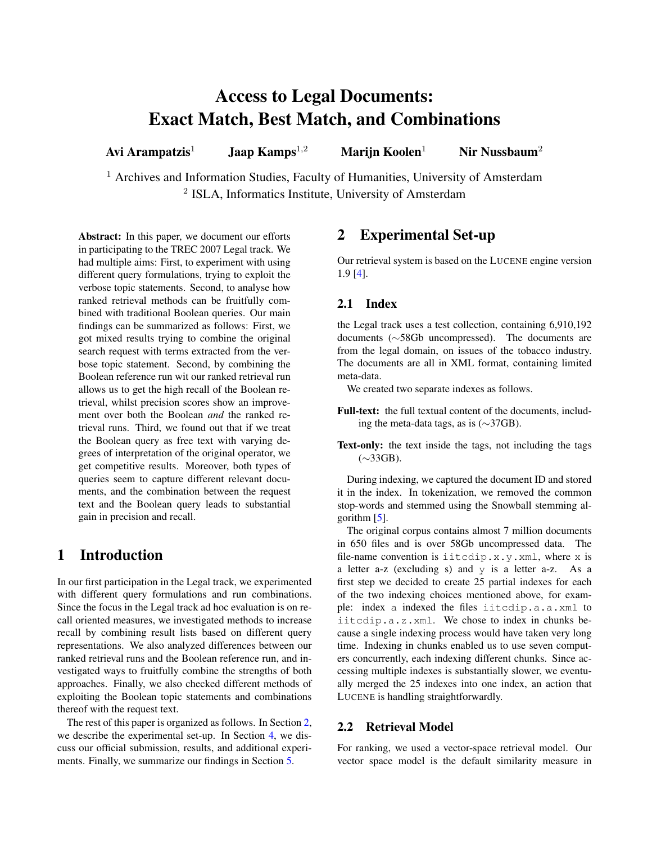# Access to Legal Documents: Exact Match, Best Match, and Combinations

Avi Arampatzis<sup>1</sup> Jaap Kamps<sup>1,2</sup> Marijn Koolen<sup>1</sup> Nir Nussbaum<sup>2</sup>

<sup>1</sup> Archives and Information Studies, Faculty of Humanities, University of Amsterdam <sup>2</sup> ISLA, Informatics Institute, University of Amsterdam

Abstract: In this paper, we document our efforts in participating to the TREC 2007 Legal track. We had multiple aims: First, to experiment with using different query formulations, trying to exploit the verbose topic statements. Second, to analyse how ranked retrieval methods can be fruitfully combined with traditional Boolean queries. Our main findings can be summarized as follows: First, we got mixed results trying to combine the original search request with terms extracted from the verbose topic statement. Second, by combining the Boolean reference run wit our ranked retrieval run allows us to get the high recall of the Boolean retrieval, whilst precision scores show an improvement over both the Boolean *and* the ranked retrieval runs. Third, we found out that if we treat the Boolean query as free text with varying degrees of interpretation of the original operator, we get competitive results. Moreover, both types of queries seem to capture different relevant documents, and the combination between the request text and the Boolean query leads to substantial gain in precision and recall.

# 1 Introduction

In our first participation in the Legal track, we experimented with different query formulations and run combinations. Since the focus in the Legal track ad hoc evaluation is on recall oriented measures, we investigated methods to increase recall by combining result lists based on different query representations. We also analyzed differences between our ranked retrieval runs and the Boolean reference run, and investigated ways to fruitfully combine the strengths of both approaches. Finally, we also checked different methods of exploiting the Boolean topic statements and combinations thereof with the request text.

The rest of this paper is organized as follows. In Section [2,](#page-0-0) we describe the experimental set-up. In Section [4,](#page-2-0) we discuss our official submission, results, and additional experiments. Finally, we summarize our findings in Section [5.](#page-3-0)

# <span id="page-0-0"></span>2 Experimental Set-up

Our retrieval system is based on the LUCENE engine version 1.9 [\[4\]](#page-4-0).

## 2.1 Index

the Legal track uses a test collection, containing 6,910,192 documents (∼58Gb uncompressed). The documents are from the legal domain, on issues of the tobacco industry. The documents are all in XML format, containing limited meta-data.

We created two separate indexes as follows.

Full-text: the full textual content of the documents, including the meta-data tags, as is (∼37GB).

Text-only: the text inside the tags, not including the tags (∼33GB).

During indexing, we captured the document ID and stored it in the index. In tokenization, we removed the common stop-words and stemmed using the Snowball stemming algorithm  $[5]$ .

The original corpus contains almost 7 million documents in 650 files and is over 58Gb uncompressed data. The file-name convention is iitcdip.x.y.xml, where x is a letter a-z (excluding s) and y is a letter a-z. As a first step we decided to create 25 partial indexes for each of the two indexing choices mentioned above, for example: index a indexed the files iitcdip.a.a.xml to iitcdip.a.z.xml. We chose to index in chunks because a single indexing process would have taken very long time. Indexing in chunks enabled us to use seven computers concurrently, each indexing different chunks. Since accessing multiple indexes is substantially slower, we eventually merged the 25 indexes into one index, an action that LUCENE is handling straightforwardly.

## 2.2 Retrieval Model

For ranking, we used a vector-space retrieval model. Our vector space model is the default similarity measure in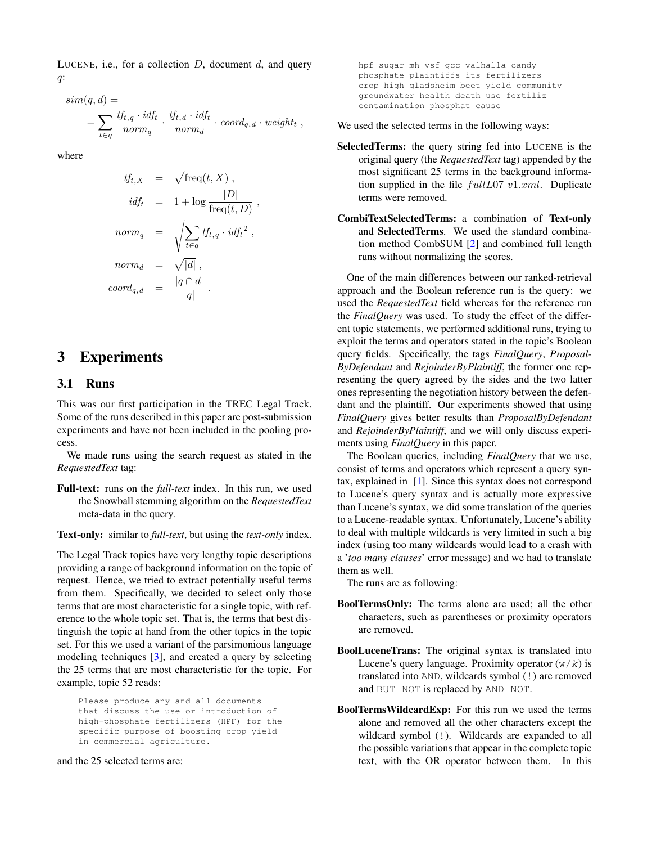LUCENE, i.e., for a collection  $D$ , document  $d$ , and query q:

$$
sim(q, d) =
$$
  
= 
$$
\sum_{t \in q} \frac{tf_{t,q} \cdot id_{ft}}{norm_q} \cdot \frac{tf_{t,d} \cdot id_{ft}}{norm_d} \cdot coord_{q,d} \cdot weight_t,
$$

where

$$
tf_{t,X} = \sqrt{\text{freq}(t, X)},
$$
  
\n
$$
idf_t = 1 + \log \frac{|D|}{\text{freq}(t, D)},
$$
  
\n
$$
norm_q = \sqrt{\sum_{t \in q} tf_{t,q} \cdot idf_t^2},
$$
  
\n
$$
norm_d = \sqrt{|d|},
$$
  
\n
$$
coord_{q,d} = \frac{|q \cap d|}{|q|}.
$$

## 3 Experiments

## 3.1 Runs

This was our first participation in the TREC Legal Track. Some of the runs described in this paper are post-submission experiments and have not been included in the pooling process.

We made runs using the search request as stated in the *RequestedText* tag:

Full-text: runs on the *full-text* index. In this run, we used the Snowball stemming algorithm on the *RequestedText* meta-data in the query.

Text-only: similar to *full-text*, but using the *text-only* index.

The Legal Track topics have very lengthy topic descriptions providing a range of background information on the topic of request. Hence, we tried to extract potentially useful terms from them. Specifically, we decided to select only those terms that are most characteristic for a single topic, with reference to the whole topic set. That is, the terms that best distinguish the topic at hand from the other topics in the topic set. For this we used a variant of the parsimonious language modeling techniques [\[3\]](#page-4-2), and created a query by selecting the 25 terms that are most characteristic for the topic. For example, topic 52 reads:

Please produce any and all documents that discuss the use or introduction of high-phosphate fertilizers (HPF) for the specific purpose of boosting crop yield in commercial agriculture.

#### and the 25 selected terms are:

hpf sugar mh vsf gcc valhalla candy phosphate plaintiffs its fertilizers crop high gladsheim beet yield community groundwater health death use fertiliz contamination phosphat cause

We used the selected terms in the following ways:

- SelectedTerms: the query string fed into LUCENE is the original query (the *RequestedText* tag) appended by the most significant 25 terms in the background information supplied in the file  $fullLO7_v1.xml$ . Duplicate terms were removed.
- CombiTextSelectedTerms: a combination of Text-only and SelectedTerms. We used the standard combination method CombSUM [\[2\]](#page-3-1) and combined full length runs without normalizing the scores.

One of the main differences between our ranked-retrieval approach and the Boolean reference run is the query: we used the *RequestedText* field whereas for the reference run the *FinalQuery* was used. To study the effect of the different topic statements, we performed additional runs, trying to exploit the terms and operators stated in the topic's Boolean query fields. Specifically, the tags *FinalQuery*, *Proposal-ByDefendant* and *RejoinderByPlaintiff*, the former one representing the query agreed by the sides and the two latter ones representing the negotiation history between the defendant and the plaintiff. Our experiments showed that using *FinalQuery* gives better results than *ProposalByDefendant* and *RejoinderByPlaintiff*, and we will only discuss experiments using *FinalQuery* in this paper.

The Boolean queries, including *FinalQuery* that we use, consist of terms and operators which represent a query syntax, explained in [\[1\]](#page-3-2). Since this syntax does not correspond to Lucene's query syntax and is actually more expressive than Lucene's syntax, we did some translation of the queries to a Lucene-readable syntax. Unfortunately, Lucene's ability to deal with multiple wildcards is very limited in such a big index (using too many wildcards would lead to a crash with a '*too many clauses*' error message) and we had to translate them as well.

The runs are as following:

- BoolTermsOnly: The terms alone are used; all the other characters, such as parentheses or proximity operators are removed.
- BoolLuceneTrans: The original syntax is translated into Lucene's query language. Proximity operator  $(w/k)$  is translated into AND, wildcards symbol (!) are removed and BUT NOT is replaced by AND NOT.
- BoolTermsWildcardExp: For this run we used the terms alone and removed all the other characters except the wildcard symbol (!). Wildcards are expanded to all the possible variations that appear in the complete topic text, with the OR operator between them. In this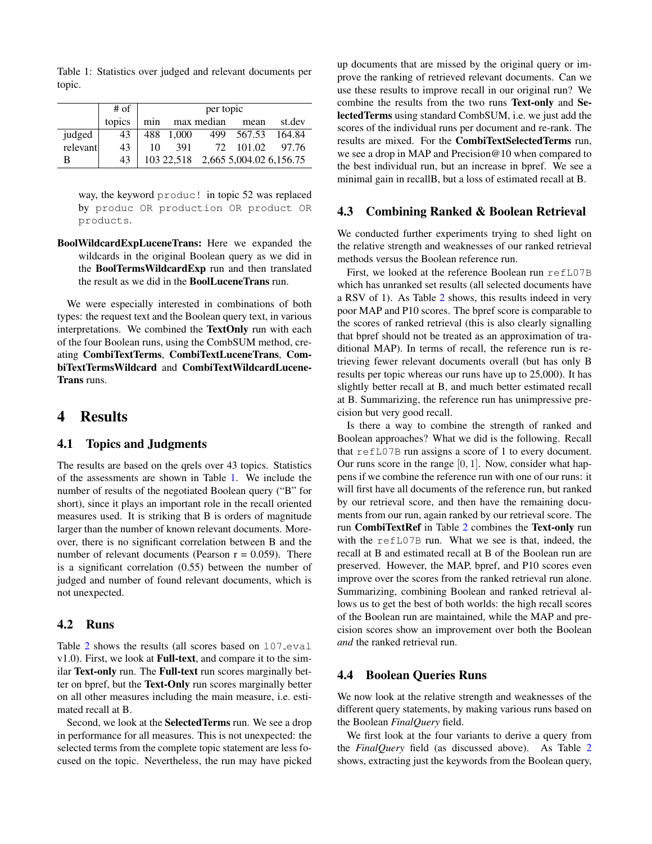<span id="page-2-1"></span>Table 1: Statistics over judged and relevant documents per topic.

|          | # of   | per topic |       |            |                                    |          |  |  |  |  |
|----------|--------|-----------|-------|------------|------------------------------------|----------|--|--|--|--|
|          | topics | min       |       | max median | mean                               | st.dev   |  |  |  |  |
| judged   | 43     | 488       | 1.000 | 499        | 567.53                             | - 164.84 |  |  |  |  |
| relevant | 43     | 10        | 391   |            | 72 101.02                          | - 97.76  |  |  |  |  |
| В        | 43     |           |       |            | 103 22,518 2,665 5,004.02 6,156.75 |          |  |  |  |  |

way, the keyword produc! in topic 52 was replaced by produc OR production OR product OR products.

BoolWildcardExpLuceneTrans: Here we expanded the wildcards in the original Boolean query as we did in the BoolTermsWildcardExp run and then translated the result as we did in the BoolLuceneTrans run.

We were especially interested in combinations of both types: the request text and the Boolean query text, in various interpretations. We combined the TextOnly run with each of the four Boolean runs, using the CombSUM method, creating CombiTextTerms, CombiTextLuceneTrans, CombiTextTermsWildcard and CombiTextWildcardLucene-Trans runs.

## <span id="page-2-0"></span>4 Results

#### 4.1 Topics and Judgments

The results are based on the qrels over 43 topics. Statistics of the assessments are shown in Table [1.](#page-2-1) We include the number of results of the negotiated Boolean query ("B" for short), since it plays an important role in the recall oriented measures used. It is striking that B is orders of magnitude larger than the number of known relevant documents. Moreover, there is no significant correlation between B and the number of relevant documents (Pearson  $r = 0.059$ ). There is a significant correlation (0.55) between the number of judged and number of found relevant documents, which is not unexpected.

#### 4.2 Runs

Table [2](#page-3-3) shows the results (all scores based on 107\_eval v1.0). First, we look at Full-text, and compare it to the similar Text-only run. The Full-text run scores marginally better on bpref, but the Text-Only run scores marginally better on all other measures including the main measure, i.e. estimated recall at B.

Second, we look at the SelectedTerms run. We see a drop in performance for all measures. This is not unexpected: the selected terms from the complete topic statement are less focused on the topic. Nevertheless, the run may have picked up documents that are missed by the original query or improve the ranking of retrieved relevant documents. Can we use these results to improve recall in our original run? We combine the results from the two runs Text-only and SelectedTerms using standard CombSUM, i.e. we just add the scores of the individual runs per document and re-rank. The results are mixed. For the CombiTextSelectedTerms run, we see a drop in MAP and Precision@10 when compared to the best individual run, but an increase in bpref. We see a minimal gain in recallB, but a loss of estimated recall at B.

### 4.3 Combining Ranked & Boolean Retrieval

We conducted further experiments trying to shed light on the relative strength and weaknesses of our ranked retrieval methods versus the Boolean reference run.

First, we looked at the reference Boolean run refL07B which has unranked set results (all selected documents have a RSV of 1). As Table [2](#page-3-3) shows, this results indeed in very poor MAP and P10 scores. The bpref score is comparable to the scores of ranked retrieval (this is also clearly signalling that bpref should not be treated as an approximation of traditional MAP). In terms of recall, the reference run is retrieving fewer relevant documents overall (but has only B results per topic whereas our runs have up to 25,000). It has slightly better recall at B, and much better estimated recall at B. Summarizing, the reference run has unimpressive precision but very good recall.

Is there a way to combine the strength of ranked and Boolean approaches? What we did is the following. Recall that refL07B run assigns a score of 1 to every document. Our runs score in the range  $[0, 1]$ . Now, consider what happens if we combine the reference run with one of our runs: it will first have all documents of the reference run, but ranked by our retrieval score, and then have the remaining documents from our run, again ranked by our retrieval score. The run CombiTextRef in Table [2](#page-3-3) combines the Text-only run with the refL07B run. What we see is that, indeed, the recall at B and estimated recall at B of the Boolean run are preserved. However, the MAP, bpref, and P10 scores even improve over the scores from the ranked retrieval run alone. Summarizing, combining Boolean and ranked retrieval allows us to get the best of both worlds: the high recall scores of the Boolean run are maintained, while the MAP and precision scores show an improvement over both the Boolean *and* the ranked retrieval run.

#### 4.4 Boolean Queries Runs

We now look at the relative strength and weaknesses of the different query statements, by making various runs based on the Boolean *FinalQuery* field.

We first look at the four variants to derive a query from the *FinalQuery* field (as discussed above). As Table [2](#page-3-3) shows, extracting just the keywords from the Boolean query,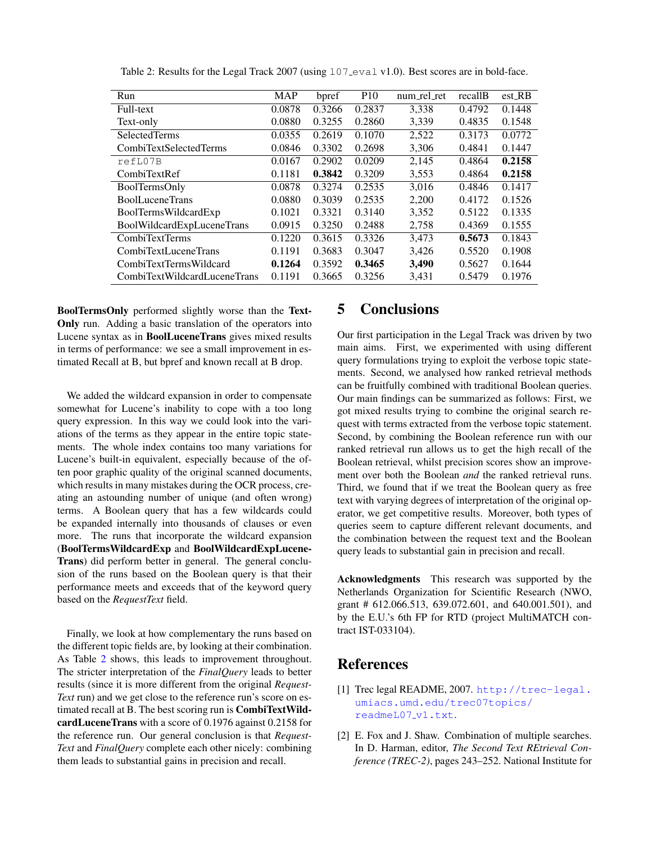| Run                          | <b>MAP</b> | bpref  | P <sub>10</sub> | num_rel_ret | recallB | $est$ <sub>RB</sub> |
|------------------------------|------------|--------|-----------------|-------------|---------|---------------------|
| Full-text                    | 0.0878     | 0.3266 | 0.2837          | 3,338       | 0.4792  | 0.1448              |
| Text-only                    | 0.0880     | 0.3255 | 0.2860          | 3,339       | 0.4835  | 0.1548              |
| <b>SelectedTerms</b>         | 0.0355     | 0.2619 | 0.1070          | 2,522       | 0.3173  | 0.0772              |
| CombiTextSelectedTerms       | 0.0846     | 0.3302 | 0.2698          | 3,306       | 0.4841  | 0.1447              |
| refL07B                      | 0.0167     | 0.2902 | 0.0209          | 2,145       | 0.4864  | 0.2158              |
| CombiTextRef                 | 0.1181     | 0.3842 | 0.3209          | 3,553       | 0.4864  | 0.2158              |
| BoolTermsOnly                | 0.0878     | 0.3274 | 0.2535          | 3,016       | 0.4846  | 0.1417              |
| <b>BoolLuceneTrans</b>       | 0.0880     | 0.3039 | 0.2535          | 2.200       | 0.4172  | 0.1526              |
| BoolTermsWildcardExp         | 0.1021     | 0.3321 | 0.3140          | 3,352       | 0.5122  | 0.1335              |
| BoolWildcardExpLuceneTrans   | 0.0915     | 0.3250 | 0.2488          | 2,758       | 0.4369  | 0.1555              |
| <b>CombiTextTerms</b>        | 0.1220     | 0.3615 | 0.3326          | 3,473       | 0.5673  | 0.1843              |
| CombiTextLuceneTrans         | 0.1191     | 0.3683 | 0.3047          | 3,426       | 0.5520  | 0.1908              |
| CombiTextTermsWildcard       | 0.1264     | 0.3592 | 0.3465          | 3,490       | 0.5627  | 0.1644              |
| CombiTextWildcardLuceneTrans | 0.1191     | 0.3665 | 0.3256          | 3,431       | 0.5479  | 0.1976              |

<span id="page-3-3"></span>Table 2: Results for the Legal Track 2007 (using 107 eval v1.0). Best scores are in bold-face.

BoolTermsOnly performed slightly worse than the Text-Only run. Adding a basic translation of the operators into Lucene syntax as in BoolLuceneTrans gives mixed results in terms of performance: we see a small improvement in estimated Recall at B, but bpref and known recall at B drop.

We added the wildcard expansion in order to compensate somewhat for Lucene's inability to cope with a too long query expression. In this way we could look into the variations of the terms as they appear in the entire topic statements. The whole index contains too many variations for Lucene's built-in equivalent, especially because of the often poor graphic quality of the original scanned documents, which results in many mistakes during the OCR process, creating an astounding number of unique (and often wrong) terms. A Boolean query that has a few wildcards could be expanded internally into thousands of clauses or even more. The runs that incorporate the wildcard expansion (BoolTermsWildcardExp and BoolWildcardExpLucene-Trans) did perform better in general. The general conclusion of the runs based on the Boolean query is that their performance meets and exceeds that of the keyword query based on the *RequestText* field.

Finally, we look at how complementary the runs based on the different topic fields are, by looking at their combination. As Table [2](#page-3-3) shows, this leads to improvement throughout. The stricter interpretation of the *FinalQuery* leads to better results (since it is more different from the original *Request-Text* run) and we get close to the reference run's score on estimated recall at B. The best scoring run is CombiTextWildcardLuceneTrans with a score of 0.1976 against 0.2158 for the reference run. Our general conclusion is that *Request-Text* and *FinalQuery* complete each other nicely: combining them leads to substantial gains in precision and recall.

## <span id="page-3-0"></span>5 Conclusions

Our first participation in the Legal Track was driven by two main aims. First, we experimented with using different query formulations trying to exploit the verbose topic statements. Second, we analysed how ranked retrieval methods can be fruitfully combined with traditional Boolean queries. Our main findings can be summarized as follows: First, we got mixed results trying to combine the original search request with terms extracted from the verbose topic statement. Second, by combining the Boolean reference run with our ranked retrieval run allows us to get the high recall of the Boolean retrieval, whilst precision scores show an improvement over both the Boolean *and* the ranked retrieval runs. Third, we found that if we treat the Boolean query as free text with varying degrees of interpretation of the original operator, we get competitive results. Moreover, both types of queries seem to capture different relevant documents, and the combination between the request text and the Boolean query leads to substantial gain in precision and recall.

Acknowledgments This research was supported by the Netherlands Organization for Scientific Research (NWO, grant # 612.066.513, 639.072.601, and 640.001.501), and by the E.U.'s 6th FP for RTD (project MultiMATCH contract IST-033104).

# References

- <span id="page-3-2"></span>[1] Trec legal README, 2007. [http://trec-legal.](http://trec-legal.umiacs.umd.edu/trec07topics/readmeL07_v1.txt) [umiacs.umd.edu/trec07topics/](http://trec-legal.umiacs.umd.edu/trec07topics/readmeL07_v1.txt) [readmeL07](http://trec-legal.umiacs.umd.edu/trec07topics/readmeL07_v1.txt)\_v1.txt.
- <span id="page-3-1"></span>[2] E. Fox and J. Shaw. Combination of multiple searches. In D. Harman, editor, *The Second Text REtrieval Conference (TREC-2)*, pages 243–252. National Institute for